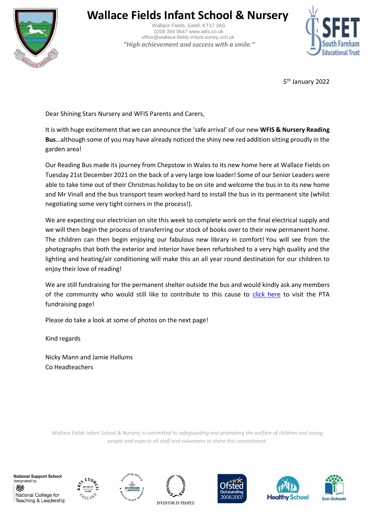

## **Wallace Fields Infant School & Nursery**

 Wallace Fields, Ewell, KT17 3AS 0208 394 0647 www.wfis.co.uk office@wallace-fields-infant.surrey.sch.uk  *"High achievement and success with a smile."*



5<sup>th</sup> January 2022

Dear Shining Stars Nursery and WFIS Parents and Carers,

It is with huge excitement that we can announce the 'safe arrival' of our new **WFIS & Nursery Reading Bus**…although some of you may have already noticed the shiny new red addition sitting proudly in the garden area!

Our Reading Bus made its journey from Chepstow in Wales to its new home here at Wallace Fields on Tuesday 21st December 2021 on the back of a very large low loader! Some of our Senior Leaders were able to take time out of their Christmas holiday to be on site and welcome the bus in to its new home and Mr Vinall and the bus transport team worked hard to install the bus in its permanent site (whilst negotiating some very tight corners in the process!).

We are expecting our electrician on site this week to complete work on the final electrical supply and we will then begin the process of transferring our stock of books over to their new permanent home. The children can then begin enjoying our fabulous new library in comfort! You will see from the photographs that both the exterior and interior have been refurbished to a very high quality and the lighting and heating/air conditioning will make this an all year round destination for our children to enjoy their love of reading!

We are still fundraising for the permanent shelter outside the bus and would kindly ask any members of the community who would still like to contribute to this cause to [click here](https://www.pta-events.co.uk/wfispta/index.cfm?event=event&eventId=40408#.YdRerGjP2Um) to visit the PTA fundraising page!

Please do take a look at some of photos on the next page!

Kind regards

Nicky Mann and Jamie Hallums Co Headteachers

*Wallace Fields Infant School & Nursery is committed to safeguarding and promoting the welfare of children and young people and expects all staff and volunteers to share this commitment.*

**National Support School** designated by 燃 National College for Teaching & Leadership